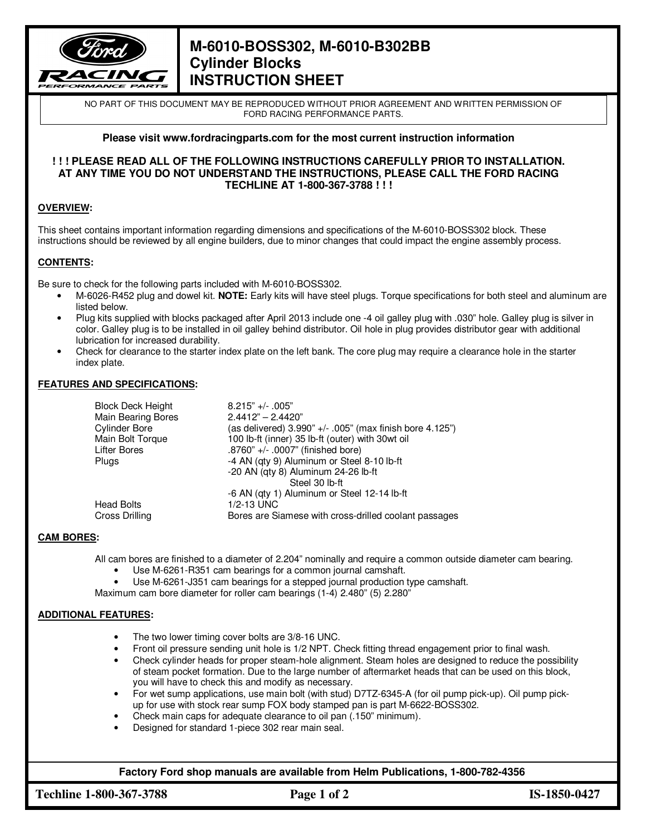

# **M-6010-BOSS302, M-6010-B302BB Cylinder Blocks INSTRUCTION SHEET**

NO PART OF THIS DOCUMENT MAY BE REPRODUCED WITHOUT PRIOR AGREEMENT AND WRITTEN PERMISSION OF FORD RACING PERFORMANCE PARTS.

## **Please visit www.fordracingparts.com for the most current instruction information**

#### **! ! ! PLEASE READ ALL OF THE FOLLOWING INSTRUCTIONS CAREFULLY PRIOR TO INSTALLATION. AT ANY TIME YOU DO NOT UNDERSTAND THE INSTRUCTIONS, PLEASE CALL THE FORD RACING TECHLINE AT 1-800-367-3788 ! ! !**

## **OVERVIEW:**

This sheet contains important information regarding dimensions and specifications of the M-6010-BOSS302 block. These instructions should be reviewed by all engine builders, due to minor changes that could impact the engine assembly process.

### **CONTENTS:**

Be sure to check for the following parts included with M-6010-BOSS302.

- M-6026-R452 plug and dowel kit. **NOTE:** Early kits will have steel plugs. Torque specifications for both steel and aluminum are listed below.
- Plug kits supplied with blocks packaged after April 2013 include one -4 oil galley plug with .030" hole. Galley plug is silver in color. Galley plug is to be installed in oil galley behind distributor. Oil hole in plug provides distributor gear with additional lubrication for increased durability.
- Check for clearance to the starter index plate on the left bank. The core plug may require a clearance hole in the starter index plate.

### **FEATURES AND SPECIFICATIONS:**

| <b>Block Deck Height</b><br><b>Main Bearing Bores</b><br><b>Cylinder Bore</b><br>Main Bolt Torque | $8.215"$ +/- .005"<br>$2.4412" - 2.4420"$<br>(as delivered) $3.990" +/- .005"$ (max finish bore $4.125"$ )<br>100 lb-ft (inner) 35 lb-ft (outer) with 30wt oil |
|---------------------------------------------------------------------------------------------------|----------------------------------------------------------------------------------------------------------------------------------------------------------------|
| Lifter Bores<br><b>Plugs</b>                                                                      | .8760" +/- .0007" (finished bore)<br>-4 AN (qty 9) Aluminum or Steel 8-10 lb-ft<br>-20 AN (qty 8) Aluminum 24-26 lb-ft<br>Steel 30 lb-ft                       |
| <b>Head Bolts</b><br><b>Cross Drilling</b>                                                        | -6 AN (qty 1) Aluminum or Steel 12-14 lb-ft<br>1/2-13 UNC<br>Bores are Siamese with cross-drilled coolant passages                                             |

### **CAM BORES:**

All cam bores are finished to a diameter of 2.204" nominally and require a common outside diameter cam bearing.

- Use M-6261-R351 cam bearings for a common journal camshaft.
- Use M-6261-J351 cam bearings for a stepped journal production type camshaft.

Maximum cam bore diameter for roller cam bearings (1-4) 2.480" (5) 2.280"

### **ADDITIONAL FEATURES:**

- The two lower timing cover bolts are 3/8-16 UNC.
- Front oil pressure sending unit hole is 1/2 NPT. Check fitting thread engagement prior to final wash.
- Check cylinder heads for proper steam-hole alignment. Steam holes are designed to reduce the possibility of steam pocket formation. Due to the large number of aftermarket heads that can be used on this block, you will have to check this and modify as necessary.
- For wet sump applications, use main bolt (with stud) D7TZ-6345-A (for oil pump pick-up). Oil pump pickup for use with stock rear sump FOX body stamped pan is part M-6622-BOSS302.
- Check main caps for adequate clearance to oil pan (.150" minimum).
- Designed for standard 1-piece 302 rear main seal.

**Factory Ford shop manuals are available from Helm Publications, 1-800-782-4356**

**Techline 1-800-367-3788 Page 1 of 2 IS-1850-0427**